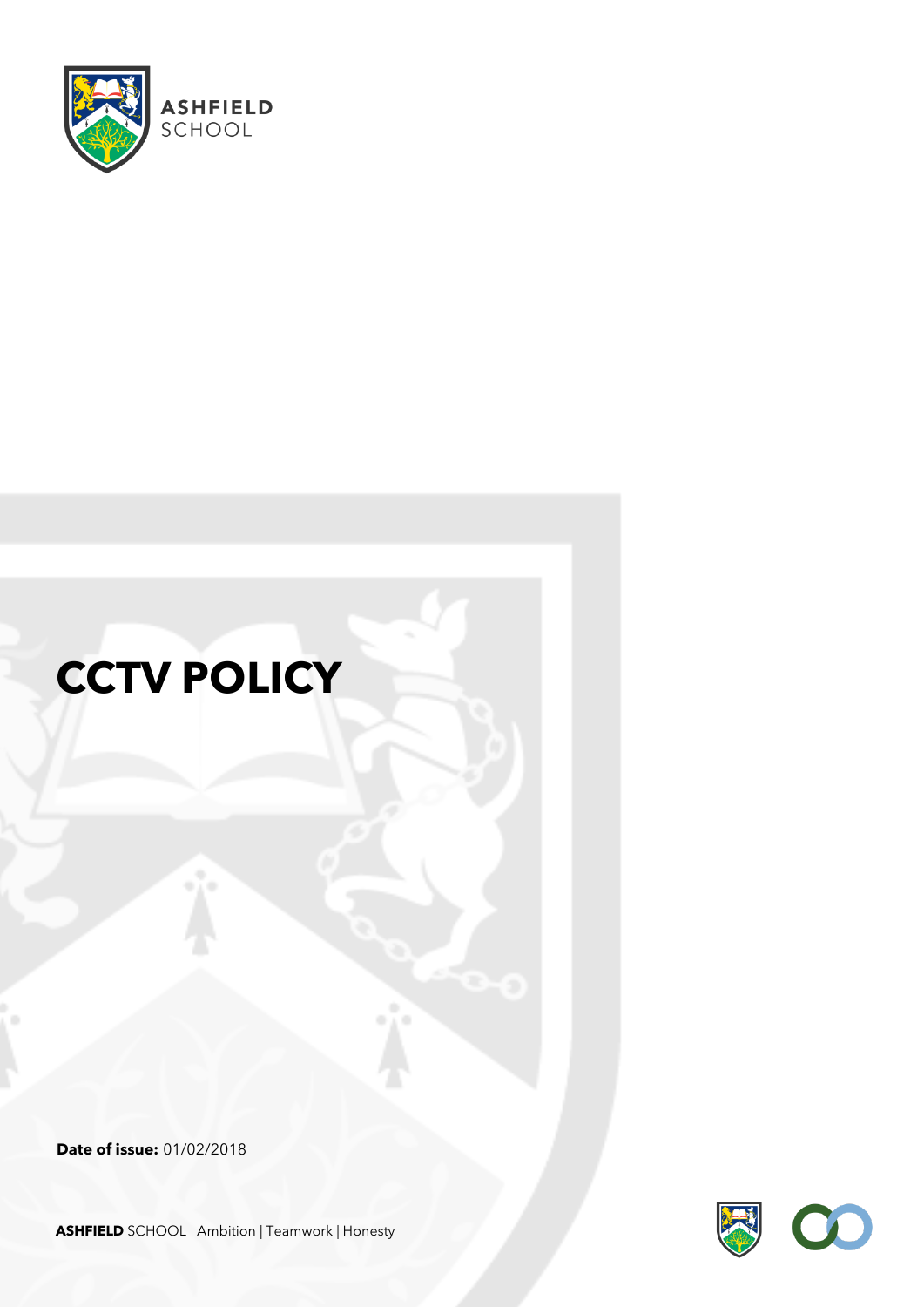

# **CCTV POLICY**

**Date of issue:** 01/02/2018



**ASHFIELD** SCHOOL Ambition | Teamwork | Honesty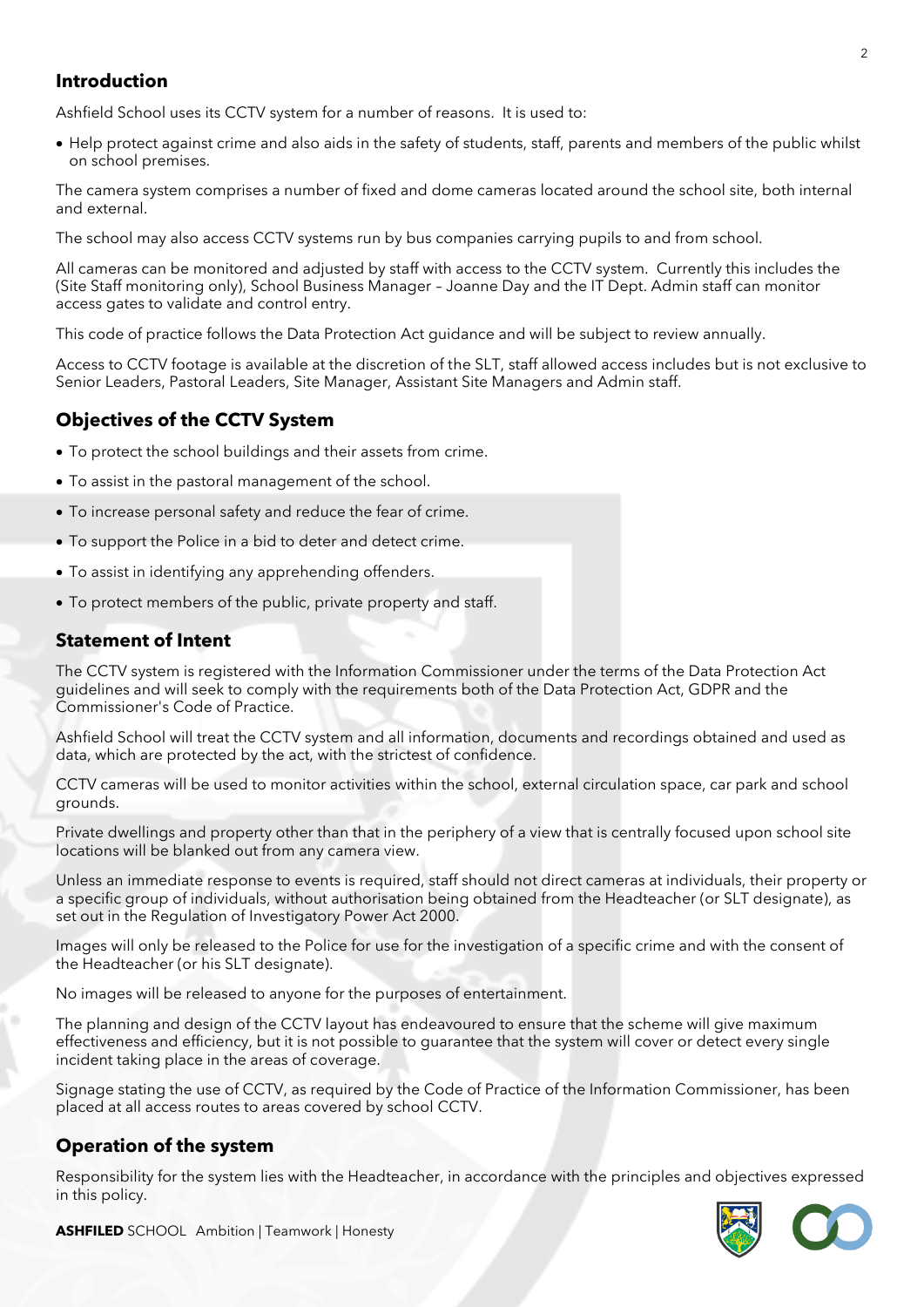# **Introduction**

Ashfield School uses its CCTV system for a number of reasons. It is used to:

• Help protect against crime and also aids in the safety of students, staff, parents and members of the public whilst on school premises.

The camera system comprises a number of fixed and dome cameras located around the school site, both internal and external.

The school may also access CCTV systems run by bus companies carrying pupils to and from school.

All cameras can be monitored and adjusted by staff with access to the CCTV system. Currently this includes the (Site Staff monitoring only), School Business Manager – Joanne Day and the IT Dept. Admin staff can monitor access gates to validate and control entry.

This code of practice follows the Data Protection Act guidance and will be subject to review annually.

Access to CCTV footage is available at the discretion of the SLT, staff allowed access includes but is not exclusive to Senior Leaders, Pastoral Leaders, Site Manager, Assistant Site Managers and Admin staff.

## **Objectives of the CCTV System**

- To protect the school buildings and their assets from crime.
- To assist in the pastoral management of the school.
- To increase personal safety and reduce the fear of crime.
- To support the Police in a bid to deter and detect crime.
- To assist in identifying any apprehending offenders.
- To protect members of the public, private property and staff.

#### **Statement of Intent**

The CCTV system is registered with the Information Commissioner under the terms of the Data Protection Act guidelines and will seek to comply with the requirements both of the Data Protection Act, GDPR and the Commissioner's Code of Practice.

Ashfield School will treat the CCTV system and all information, documents and recordings obtained and used as data, which are protected by the act, with the strictest of confidence.

CCTV cameras will be used to monitor activities within the school, external circulation space, car park and school grounds.

Private dwellings and property other than that in the periphery of a view that is centrally focused upon school site locations will be blanked out from any camera view.

Unless an immediate response to events is required, staff should not direct cameras at individuals, their property or a specific group of individuals, without authorisation being obtained from the Headteacher (or SLT designate), as set out in the Regulation of Investigatory Power Act 2000.

Images will only be released to the Police for use for the investigation of a specific crime and with the consent of the Headteacher (or his SLT designate).

No images will be released to anyone for the purposes of entertainment.

The planning and design of the CCTV layout has endeavoured to ensure that the scheme will give maximum effectiveness and efficiency, but it is not possible to guarantee that the system will cover or detect every single incident taking place in the areas of coverage.

Signage stating the use of CCTV, as required by the Code of Practice of the Information Commissioner, has been placed at all access routes to areas covered by school CCTV.

#### **Operation of the system**

Responsibility for the system lies with the Headteacher, in accordance with the principles and objectives expressed in this policy.

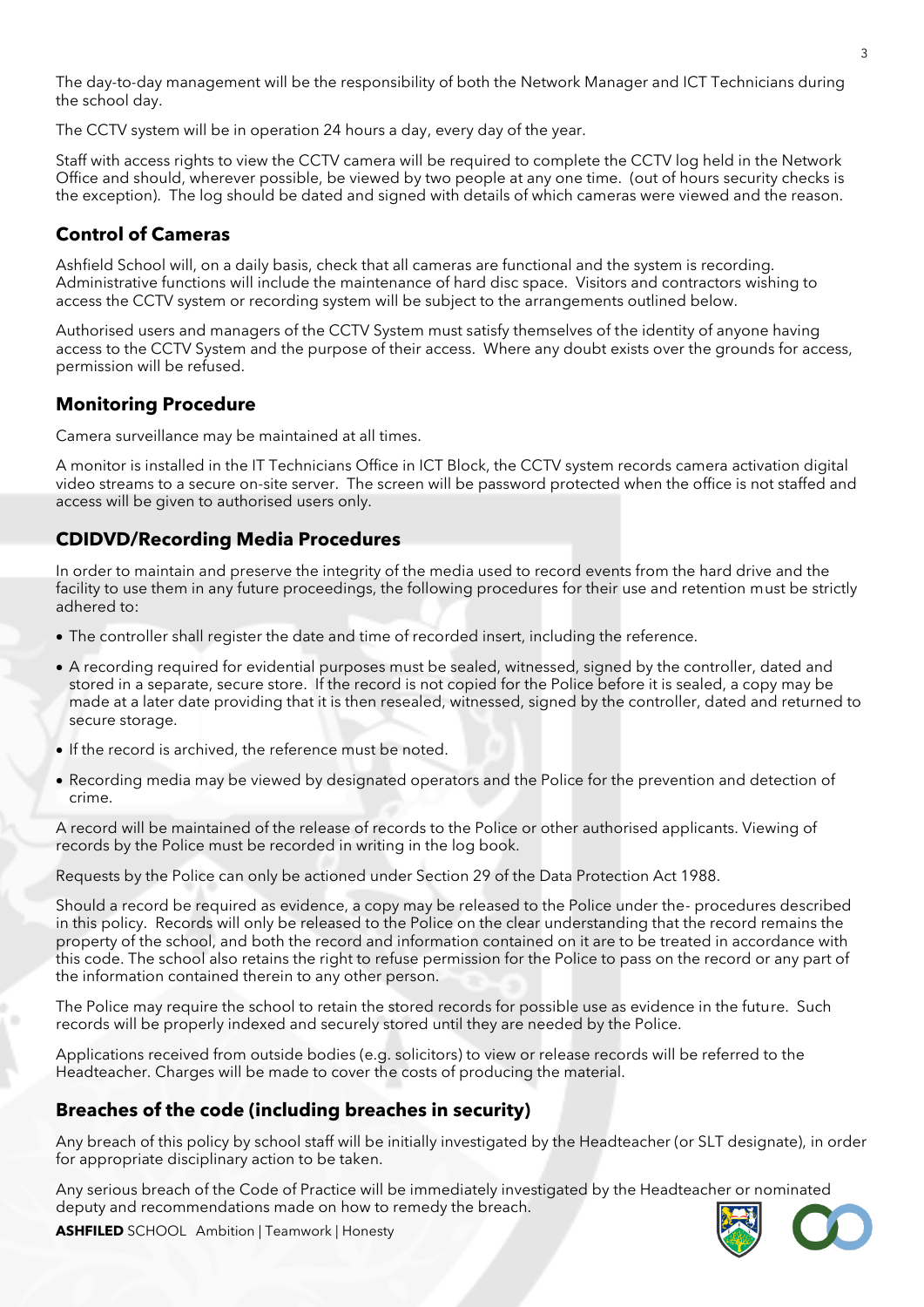The day-to-day management will be the responsibility of both the Network Manager and ICT Technicians during the school day.

The CCTV system will be in operation 24 hours a day, every day of the year.

Staff with access rights to view the CCTV camera will be required to complete the CCTV log held in the Network Office and should, wherever possible, be viewed by two people at any one time. (out of hours security checks is the exception). The log should be dated and signed with details of which cameras were viewed and the reason.

# **Control of Cameras**

Ashfield School will, on a daily basis, check that all cameras are functional and the system is recording. Administrative functions will include the maintenance of hard disc space. Visitors and contractors wishing to access the CCTV system or recording system will be subject to the arrangements outlined below.

Authorised users and managers of the CCTV System must satisfy themselves of the identity of anyone having access to the CCTV System and the purpose of their access. Where any doubt exists over the grounds for access, permission will be refused.

## **Monitoring Procedure**

Camera surveillance may be maintained at all times.

A monitor is installed in the IT Technicians Office in ICT Block, the CCTV system records camera activation digital video streams to a secure on-site server. The screen will be password protected when the office is not staffed and access will be given to authorised users only.

#### **CDIDVD/Recording Media Procedures**

In order to maintain and preserve the integrity of the media used to record events from the hard drive and the facility to use them in any future proceedings, the following procedures for their use and retention must be strictly adhered to:

- The controller shall register the date and time of recorded insert, including the reference.
- A recording required for evidential purposes must be sealed, witnessed, signed by the controller, dated and stored in a separate, secure store. If the record is not copied for the Police before it is sealed, a copy may be made at a later date providing that it is then resealed, witnessed, signed by the controller, dated and returned to secure storage.
- If the record is archived, the reference must be noted.
- Recording media may be viewed by designated operators and the Police for the prevention and detection of crime.

A record will be maintained of the release of records to the Police or other authorised applicants. Viewing of records by the Police must be recorded in writing in the log book.

Requests by the Police can only be actioned under Section 29 of the Data Protection Act 1988.

Should a record be required as evidence, a copy may be released to the Police under the- procedures described in this policy. Records will only be released to the Police on the clear understanding that the record remains the property of the school, and both the record and information contained on it are to be treated in accordance with this code. The school also retains the right to refuse permission for the Police to pass on the record or any part of the information contained therein to any other person.

The Police may require the school to retain the stored records for possible use as evidence in the future. Such records will be properly indexed and securely stored until they are needed by the Police.

Applications received from outside bodies (e.g. solicitors) to view or release records will be referred to the Headteacher. Charges will be made to cover the costs of producing the material.

## **Breaches of the code (including breaches in security)**

Any breach of this policy by school staff will be initially investigated by the Headteacher (or SLT designate), in order for appropriate disciplinary action to be taken.

Any serious breach of the Code of Practice will be immediately investigated by the Headteacher or nominated deputy and recommendations made on how to remedy the breach.



**ASHFILED** SCHOOL Ambition | Teamwork | Honesty